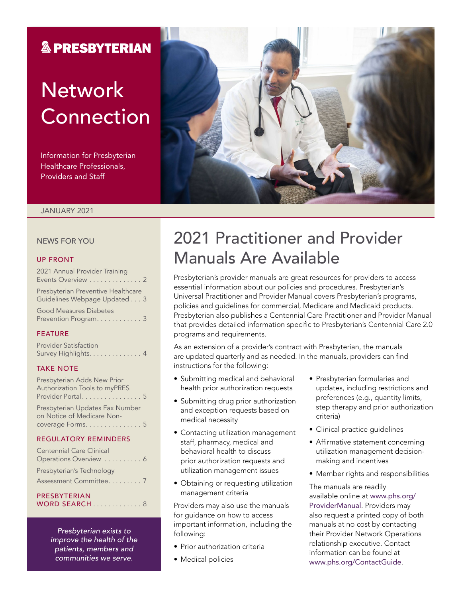### **& PRESBYTERIAN**

# **Network** Connection

Information for Presbyterian Healthcare Professionals, Providers and Staff



#### JANUARY 2021

#### NEWS FOR YOU

#### UP FRONT

| 2021 Annual Provider Training<br>Events Overview 2                 |
|--------------------------------------------------------------------|
| Presbyterian Preventive Healthcare<br>Guidelines Webpage Updated 3 |
| <b>Good Measures Diabetes</b><br>Prevention Program 3              |

#### FEATURE

| <b>Provider Satisfaction</b> |  |  |  |  |  |  |  |
|------------------------------|--|--|--|--|--|--|--|
| Survey Highlights. 4         |  |  |  |  |  |  |  |

#### TAKE NOTE

| Presbyterian Adds New Prior          |  |
|--------------------------------------|--|
| <b>Authorization Tools to myPRES</b> |  |
| Provider Portal. 5                   |  |
|                                      |  |

Presbyterian Updates Fax Number on Notice of Medicare Noncoverage Forms. . . . . . . . . . . . . . 5

#### REGULATORY REMINDERS

| PRESBYTERIAN                                         |  |
|------------------------------------------------------|--|
| Presbyterian's Technology<br>Assessment Committee. 7 |  |
| Operations Overview 6                                |  |
| <b>Centennial Care Clinical</b>                      |  |

*Presbyterian exists to improve the health of the patients, members and communities we serve.*

### 2021 Practitioner and Provider Manuals Are Available

Presbyterian's provider manuals are great resources for providers to access essential information about our policies and procedures. Presbyterian's Universal Practitioner and Provider Manual covers Presbyterian's programs, policies and guidelines for commercial, Medicare and Medicaid products. Presbyterian also publishes a Centennial Care Practitioner and Provider Manual that provides detailed information specific to Presbyterian's Centennial Care 2.0 programs and requirements.

As an extension of a provider's contract with Presbyterian, the manuals are updated quarterly and as needed. In the manuals, providers can find instructions for the following:

- Submitting medical and behavioral health prior authorization requests
- Submitting drug prior authorization and exception requests based on medical necessity
- Contacting utilization management staff, pharmacy, medical and behavioral health to discuss prior authorization requests and utilization management issues
- Obtaining or requesting utilization management criteria

Providers may also use the manuals for guidance on how to access important information, including the following:

- Prior authorization criteria
- Medical policies
- Presbyterian formularies and updates, including restrictions and preferences (e.g., quantity limits, step therapy and prior authorization criteria)
- Clinical practice guidelines
- Affirmative statement concerning utilization management decisionmaking and incentives
- Member rights and responsibilities

The manuals are readily available online at [www.phs.org/](http://www.phs.org/ProviderManual) [ProviderManual](http://www.phs.org/ProviderManual). Providers may also request a printed copy of both manuals at no cost by contacting their Provider Network Operations relationship executive. Contact information can be found at [www.phs.org/ContactGuide](http://www.phs.org/ContactGuide).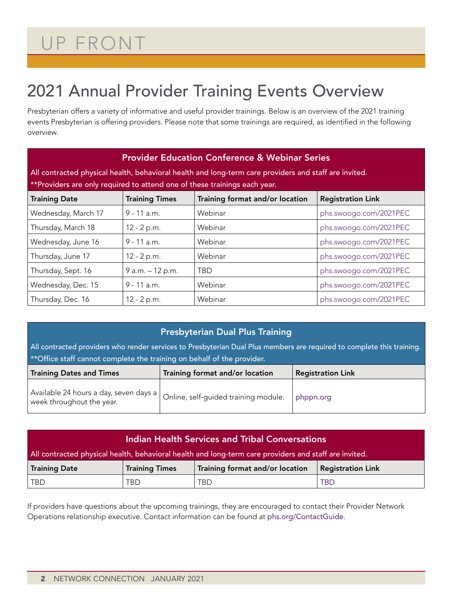# UP FRONT

## 2021 Annual Provider Training Events Overview

Presbyterian offers a variety of informative and useful provider trainings. Below is an overview of the 2021 training events Presbyterian is offering providers. Please note that some trainings are required, as identified in the following overview.

| <b>Provider Education Conference &amp; Webinar Series</b>                                             |                       |                                 |                          |  |  |  |  |  |
|-------------------------------------------------------------------------------------------------------|-----------------------|---------------------------------|--------------------------|--|--|--|--|--|
| All contracted physical health, behavioral health and long-term care providers and staff are invited. |                       |                                 |                          |  |  |  |  |  |
| **Providers are only required to attend one of these trainings each year.                             |                       |                                 |                          |  |  |  |  |  |
| <b>Training Date</b>                                                                                  | <b>Training Times</b> | Training format and/or location | <b>Registration Link</b> |  |  |  |  |  |
| Wednesday, March 17                                                                                   | $9 - 11$ a.m.         | Webinar                         | phs.swoogo.com/2021PEC   |  |  |  |  |  |
| Thursday, March 18                                                                                    | 12 - 2 p.m.           | Webinar                         | phs.swoogo.com/2021PEC   |  |  |  |  |  |
| Wednesday, June 16                                                                                    | $9 - 11$ a.m.         | Webinar                         | phs.swoogo.com/2021PEC   |  |  |  |  |  |
| Thursday, June 17                                                                                     | 12 - 2 p.m.           | Webinar                         | phs.swoogo.com/2021PEC   |  |  |  |  |  |
| Thursday, Sept. 16                                                                                    | 9 a.m. - 12 p.m.      | <b>TBD</b>                      | phs.swoogo.com/2021PEC   |  |  |  |  |  |
| Wednesday, Dec. 15                                                                                    | $9 - 11$ a.m.         | Webinar                         | phs.swoogo.com/2021PEC   |  |  |  |  |  |
| Thursday, Dec. 16                                                                                     | $12 - 2 p.m.$         | Webinar                         | phs.swoogo.com/2021PEC   |  |  |  |  |  |

### Presbyterian Dual Plus Training

All contracted providers who render services to Presbyterian Dual Plus members are required to complete this training. \*\*Office staff cannot complete the training on behalf of the provider.

| <b>Training Dates and Times</b>                                               | Training format and/or location      | <b>Registration Link</b> |
|-------------------------------------------------------------------------------|--------------------------------------|--------------------------|
| , Available 24 hours a day, seven days a $\vert$<br>week throughout the year. | Online, self-guided training module. | phppn.org                |

| Indian Health Services and Tribal Conversations                                                              |      |     |            |  |  |  |  |  |
|--------------------------------------------------------------------------------------------------------------|------|-----|------------|--|--|--|--|--|
| All contracted physical health, behavioral health and long-term care providers and staff are invited.        |      |     |            |  |  |  |  |  |
| Training format and/or location<br><b>Registration Link</b><br><b>Training Date</b><br><b>Training Times</b> |      |     |            |  |  |  |  |  |
| TBD                                                                                                          | TBD. | TRD | <b>TBD</b> |  |  |  |  |  |

If providers have questions about the upcoming trainings, they are encouraged to contact their Provider Network Operations relationship executive. Contact information can be found at [phs.org/ContactGuide](http://www.phs.org/ContactGuide).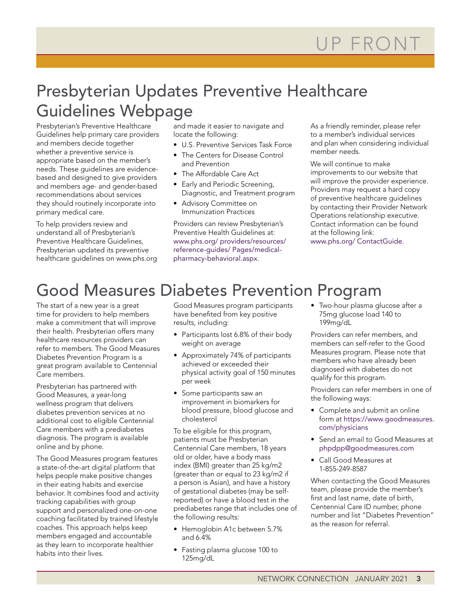### Presbyterian Updates Preventive Healthcare Guidelines Webpage

Presbyterian's Preventive Healthcare Guidelines help primary care providers and members decide together whether a preventive service is appropriate based on the member's needs. These guidelines are evidencebased and designed to give providers and members age- and gender-based recommendations about services they should routinely incorporate into primary medical care.

To help providers review and understand all of Presbyterian's Preventive Healthcare Guidelines, Presbyterian updated its preventive healthcare guidelines on www.phs.org

and made it easier to navigate and locate the following:

- U.S. Preventive Services Task Force
- The Centers for Disease Control and Prevention
- The Affordable Care Act
- Early and Periodic Screening, Diagnostic, and Treatment program
- Advisory Committee on Immunization Practices

Providers can review Presbyterian's Preventive Health Guidelines at: [www.phs.org/ providers/resources/](http://www.phs.org/%20providers/resources/reference-guides/%20Pages/medical-pharmacy-behavioral.aspx) [reference-guides/ Pages/medical](http://www.phs.org/%20providers/resources/reference-guides/%20Pages/medical-pharmacy-behavioral.aspx)[pharmacy-behavioral.aspx](http://www.phs.org/%20providers/resources/reference-guides/%20Pages/medical-pharmacy-behavioral.aspx).

As a friendly reminder, please refer to a member's individual services and plan when considering individual member needs.

We will continue to make improvements to our website that will improve the provider experience. Providers may request a hard copy of preventive healthcare guidelines by contacting their Provider Network Operations relationship executive. Contact information can be found at the following link: [www.phs.org/ ContactGuide](http://www.phs.org/%20ContactGuide).

## Good Measures Diabetes Prevention Program

The start of a new year is a great time for providers to help members make a commitment that will improve their health. Presbyterian offers many healthcare resources providers can refer to members. The Good Measures Diabetes Prevention Program is a great program available to Centennial Care members.

Presbyterian has partnered with Good Measures, a year-long wellness program that delivers diabetes prevention services at no additional cost to eligible Centennial Care members with a prediabetes diagnosis. The program is available online and by phone.

The Good Measures program features a state-of-the-art digital platform that helps people make positive changes in their eating habits and exercise behavior. It combines food and activity tracking capabilities with group support and personalized one-on-one coaching facilitated by trained lifestyle coaches. This approach helps keep members engaged and accountable as they learn to incorporate healthier habits into their lives.

Good Measures program participants have benefited from key positive results, including:

- Participants lost 6.8% of their body weight on average
- Approximately 74% of participants achieved or exceeded their physical activity goal of 150 minutes per week
- Some participants saw an improvement in biomarkers for blood pressure, blood glucose and cholesterol

To be eligible for this program, patients must be Presbyterian Centennial Care members, 18 years old or older, have a body mass index (BMI) greater than 25 kg/m2 (greater than or equal to 23 kg/m2 if a person is Asian), and have a history of gestational diabetes (may be selfreported) or have a blood test in the prediabetes range that includes one of the following results:

- Hemoglobin A1c between 5.7% and 6.4%
- Fasting plasma glucose 100 to 125mg/dL

• Two-hour plasma glucose after a 75mg glucose load 140 to 199mg/dL

Providers can refer members, and members can self-refer to the Good Measures program. Please note that members who have already been diagnosed with diabetes do not qualify for this program.

Providers can refer members in one of the following ways:

- Complete and submit an online form at [https://www.goodmeasures.](https://www.goodmeasures.com/physicians) [com/physicians](https://www.goodmeasures.com/physicians)
- Send an email to Good Measures at [phpdpp@goodmeasures.com](mailto:phpdpp@goodmeasures.com)
- Call Good Measures at 1-855-249-8587

When contacting the Good Measures team, please provide the member's first and last name, date of birth, Centennial Care ID number, phone number and list "Diabetes Prevention" as the reason for referral.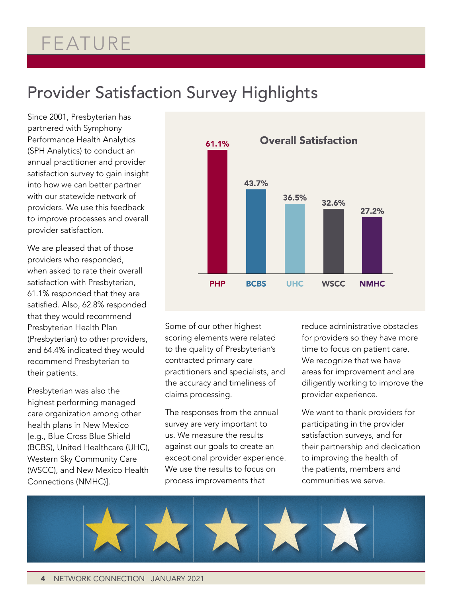## FEATURE

### Provider Satisfaction Survey Highlights

Since 2001, Presbyterian has partnered with Symphony Performance Health Analytics (SPH Analytics) to conduct an annual practitioner and provider satisfaction survey to gain insight into how we can better partner with our statewide network of providers. We use this feedback to improve processes and overall provider satisfaction.

We are pleased that of those providers who responded, when asked to rate their overall satisfaction with Presbyterian, 61.1% responded that they are satisfied. Also, 62.8% responded that they would recommend Presbyterian Health Plan (Presbyterian) to other providers, and 64.4% indicated they would recommend Presbyterian to their patients.

Presbyterian was also the highest performing managed care organization among other health plans in New Mexico [e.g., Blue Cross Blue Shield (BCBS), United Healthcare (UHC), Western Sky Community Care (WSCC), and New Mexico Health Connections (NMHC)].



Some of our other highest scoring elements were related to the quality of Presbyterian's contracted primary care practitioners and specialists, and the accuracy and timeliness of claims processing.

The responses from the annual survey are very important to us. We measure the results against our goals to create an exceptional provider experience. We use the results to focus on process improvements that

reduce administrative obstacles for providers so they have more time to focus on patient care. We recognize that we have areas for improvement and are diligently working to improve the provider experience.

We want to thank providers for participating in the provider satisfaction surveys, and for their partnership and dedication to improving the health of the patients, members and communities we serve.

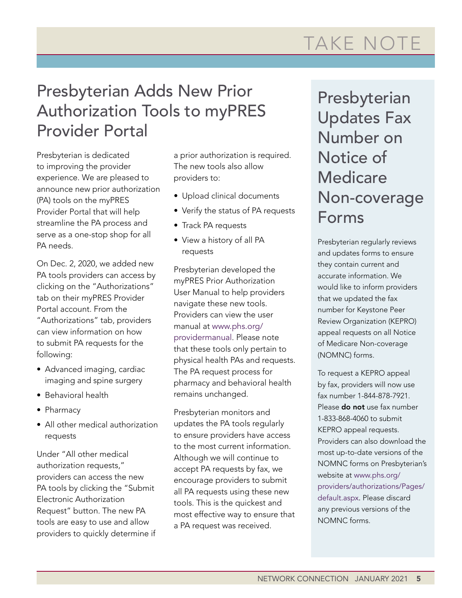# TAKE NOTE

### Presbyterian Adds New Prior Authorization Tools to myPRES Provider Portal

Presbyterian is dedicated to improving the provider experience. We are pleased to announce new prior authorization (PA) tools on the myPRES Provider Portal that will help streamline the PA process and serve as a one-stop shop for all PA needs.

On Dec. 2, 2020, we added new PA tools providers can access by clicking on the "Authorizations" tab on their myPRES Provider Portal account. From the "Authorizations" tab, providers can view information on how to submit PA requests for the following:

- Advanced imaging, cardiac imaging and spine surgery
- Behavioral health
- Pharmacy
- All other medical authorization requests

Under "All other medical authorization requests," providers can access the new PA tools by clicking the "Submit Electronic Authorization Request" button. The new PA tools are easy to use and allow providers to quickly determine if a prior authorization is required. The new tools also allow providers to:

- Upload clinical documents
- Verify the status of PA requests
- Track PA requests
- View a history of all PA requests

Presbyterian developed the myPRES Prior Authorization User Manual to help providers navigate these new tools. Providers can view the user manual at www.phs.org/ providermanual. Please note that these tools only pertain to physical health PAs and requests. The PA request process for pharmacy and behavioral health remains unchanged.

Presbyterian monitors and updates the PA tools regularly to ensure providers have access to the most current information. Although we will continue to accept PA requests by fax, we encourage providers to submit all PA requests using these new tools. This is the quickest and most effective way to ensure that a PA request was received.

Presbyterian Updates Fax Number on Notice of **Medicare** Non-coverage Forms

Presbyterian regularly reviews and updates forms to ensure they contain current and accurate information. We would like to inform providers that we updated the fax number for Keystone Peer Review Organization (KEPRO) appeal requests on all Notice of Medicare Non-coverage (NOMNC) forms.

To request a KEPRO appeal by fax, providers will now use fax number 1-844-878-7921. Please do not use fax number 1-833-868-4060 to submit KEPRO appeal requests. Providers can also download the most up-to-date versions of the NOMNC forms on Presbyterian's website at [www.phs.org/](http://www.phs.org/providers/authorizations/Pages/default.aspx) [providers/authorizations/Pages/](http://www.phs.org/providers/authorizations/Pages/default.aspx) [default.aspx](http://www.phs.org/providers/authorizations/Pages/default.aspx). Please discard any previous versions of the NOMNC forms.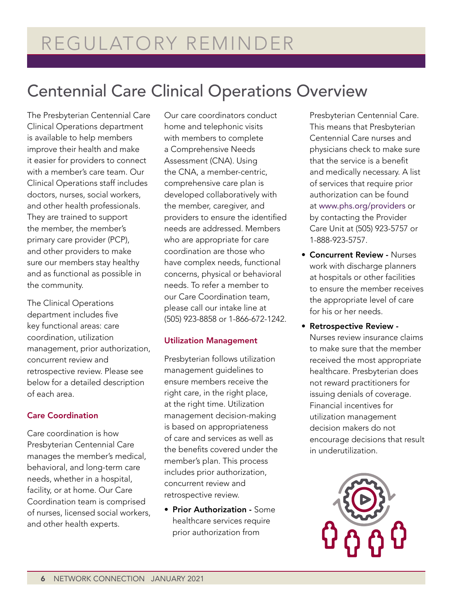### Centennial Care Clinical Operations Overview

The Presbyterian Centennial Care Clinical Operations department is available to help members improve their health and make it easier for providers to connect with a member's care team. Our Clinical Operations staff includes doctors, nurses, social workers, and other health professionals. They are trained to support the member, the member's primary care provider (PCP), and other providers to make sure our members stay healthy and as functional as possible in the community.

The Clinical Operations department includes five key functional areas: care coordination, utilization management, prior authorization, concurrent review and retrospective review. Please see below for a detailed description of each area.

#### Care Coordination

Care coordination is how Presbyterian Centennial Care manages the member's medical, behavioral, and long-term care needs, whether in a hospital, facility, or at home. Our Care Coordination team is comprised of nurses, licensed social workers, and other health experts.

Our care coordinators conduct home and telephonic visits with members to complete a Comprehensive Needs Assessment (CNA). Using the CNA, a member-centric, comprehensive care plan is developed collaboratively with the member, caregiver, and providers to ensure the identified needs are addressed. Members who are appropriate for care coordination are those who have complex needs, functional concerns, physical or behavioral needs. To refer a member to our Care Coordination team, please call our intake line at (505) 923-8858 or 1-866-672-1242.

#### Utilization Management

Presbyterian follows utilization management guidelines to ensure members receive the right care, in the right place, at the right time. Utilization management decision-making is based on appropriateness of care and services as well as the benefits covered under the member's plan. This process includes prior authorization, concurrent review and retrospective review.

• Prior Authorization - Some healthcare services require prior authorization from

Presbyterian Centennial Care. This means that Presbyterian Centennial Care nurses and physicians check to make sure that the service is a benefit and medically necessary. A list of services that require prior authorization can be found at [www.phs.org/providers](http://www.phs.org/providers) or by contacting the Provider Care Unit at (505) 923-5757 or 1-888-923-5757.

- Concurrent Review Nurses work with discharge planners at hospitals or other facilities to ensure the member receives the appropriate level of care for his or her needs.
- Retrospective Review Nurses review insurance claims to make sure that the member received the most appropriate healthcare. Presbyterian does not reward practitioners for issuing denials of coverage. Financial incentives for utilization management decision makers do not encourage decisions that result in underutilization.

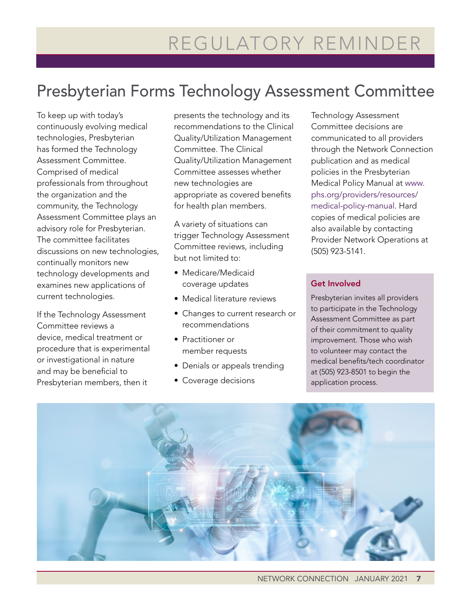### Presbyterian Forms Technology Assessment Committee

To keep up with today's continuously evolving medical technologies, Presbyterian has formed the Technology Assessment Committee. Comprised of medical professionals from throughout the organization and the community, the Technology Assessment Committee plays an advisory role for Presbyterian. The committee facilitates discussions on new technologies, continually monitors new technology developments and examines new applications of current technologies.

If the Technology Assessment Committee reviews a device, medical treatment or procedure that is experimental or investigational in nature and may be beneficial to Presbyterian members, then it

presents the technology and its recommendations to the Clinical Quality/Utilization Management Committee. The Clinical Quality/Utilization Management Committee assesses whether new technologies are appropriate as covered benefits for health plan members.

A variety of situations can trigger Technology Assessment Committee reviews, including but not limited to:

- Medicare/Medicaid coverage updates
- Medical literature reviews
- Changes to current research or recommendations
- Practitioner or member requests
- Denials or appeals trending
- Coverage decisions

Technology Assessment Committee decisions are communicated to all providers through the Network Connection publication and as medical policies in the Presbyterian Medical Policy Manual at [www.](http://www.phs.org/providers/resources/medical-policy-manual) [phs.org/providers/resources/](http://www.phs.org/providers/resources/medical-policy-manual) [medical-policy-manual](http://www.phs.org/providers/resources/medical-policy-manual). Hard copies of medical policies are also available by contacting Provider Network Operations at (505) 923-5141.

#### Get Involved

Presbyterian invites all providers to participate in the Technology Assessment Committee as part of their commitment to quality improvement. Those who wish to volunteer may contact the medical benefits/tech coordinator at (505) 923-8501 to begin the application process.